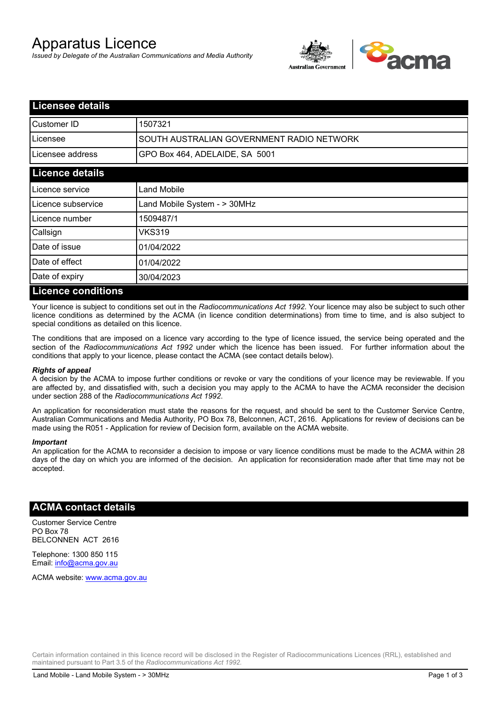# Apparatus Licence

*Issued by Delegate of the Australian Communications and Media Authority*



| <b>Licensee details</b>   |                                           |  |
|---------------------------|-------------------------------------------|--|
| Customer ID               | 1507321                                   |  |
| Licensee                  | SOUTH AUSTRALIAN GOVERNMENT RADIO NETWORK |  |
| Licensee address          | GPO Box 464, ADELAIDE, SA 5001            |  |
| <b>Licence details</b>    |                                           |  |
| Licence service           | Land Mobile                               |  |
| Licence subservice        | Land Mobile System - > 30MHz              |  |
| Licence number            | 1509487/1                                 |  |
| Callsign                  | VKS319                                    |  |
| Date of issue             | 01/04/2022                                |  |
| Date of effect            | 01/04/2022                                |  |
| Date of expiry            | 30/04/2023                                |  |
| <b>Licence conditions</b> |                                           |  |

Your licence is subject to conditions set out in the *Radiocommunications Act 1992*. Your licence may also be subject to such other licence conditions as determined by the ACMA (in licence condition determinations) from time to time, and is also subject to special conditions as detailed on this licence.

The conditions that are imposed on a licence vary according to the type of licence issued, the service being operated and the section of the *Radiocommunications Act 1992* under which the licence has been issued. For further information about the conditions that apply to your licence, please contact the ACMA (see contact details below).

#### *Rights of appeal*

A decision by the ACMA to impose further conditions or revoke or vary the conditions of your licence may be reviewable. If you are affected by, and dissatisfied with, such a decision you may apply to the ACMA to have the ACMA reconsider the decision under section 288 of the *Radiocommunications Act 1992*.

An application for reconsideration must state the reasons for the request, and should be sent to the Customer Service Centre, Australian Communications and Media Authority, PO Box 78, Belconnen, ACT, 2616. Applications for review of decisions can be made using the R051 - Application for review of Decision form, available on the ACMA website.

#### *Important*

An application for the ACMA to reconsider a decision to impose or vary licence conditions must be made to the ACMA within 28 days of the day on which you are informed of the decision. An application for reconsideration made after that time may not be accepted.

### **ACMA contact details**

Customer Service Centre PO Box 78 BELCONNEN ACT 2616

Telephone: 1300 850 115 Email: info@acma.gov.au

ACMA website: www.acma.gov.au

Certain information contained in this licence record will be disclosed in the Register of Radiocommunications Licences (RRL), established and maintained pursuant to Part 3.5 of the *Radiocommunications Act 1992.*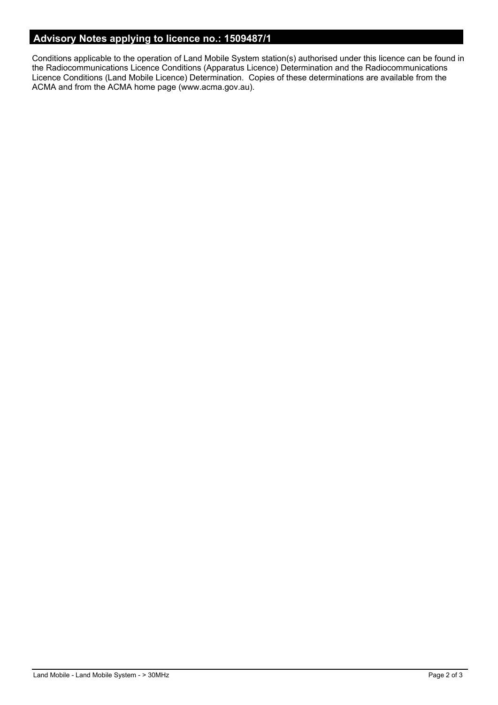## **Advisory Notes applying to licence no.: 1509487/1**

Conditions applicable to the operation of Land Mobile System station(s) authorised under this licence can be found in the Radiocommunications Licence Conditions (Apparatus Licence) Determination and the Radiocommunications Licence Conditions (Land Mobile Licence) Determination. Copies of these determinations are available from the ACMA and from the ACMA home page (www.acma.gov.au).